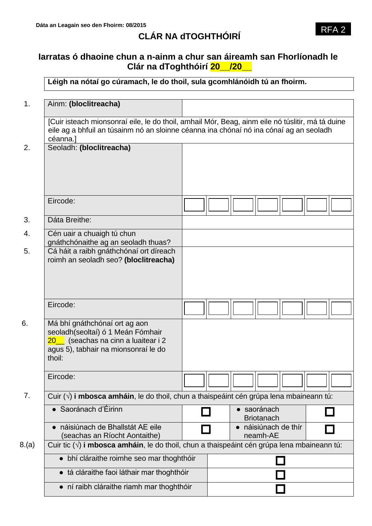# **CLÁR NA dTOGHTHÓIRÍ**

# **Iarratas ó dhaoine chun a n-ainm a chur san áireamh san Fhorlíonadh le Clár na dToghthóirí 20\_\_/20\_\_**

**Léigh na nótaí go cúramach, le do thoil, sula gcomhlánóidh tú an fhoirm.**

| 1.    | Ainm: (bloclitreacha)                                                                                                                                                                                  |                                                                                                  |  |  |                                  |                    |  |  |
|-------|--------------------------------------------------------------------------------------------------------------------------------------------------------------------------------------------------------|--------------------------------------------------------------------------------------------------|--|--|----------------------------------|--------------------|--|--|
|       |                                                                                                                                                                                                        |                                                                                                  |  |  |                                  |                    |  |  |
|       | [Cuir isteach mionsonraí eile, le do thoil, amhail Mór, Beag, ainm eile nó túslitir, má tá duine<br>eile ag a bhfuil an túsainm nó an sloinne céanna ina chónaí nó ina cónaí ag an seoladh<br>céanna.] |                                                                                                  |  |  |                                  |                    |  |  |
| 2.    | Seoladh: (bloclitreacha)                                                                                                                                                                               |                                                                                                  |  |  |                                  |                    |  |  |
|       |                                                                                                                                                                                                        |                                                                                                  |  |  |                                  |                    |  |  |
|       | Eircode:                                                                                                                                                                                               |                                                                                                  |  |  |                                  |                    |  |  |
| 3.    | Dáta Breithe:                                                                                                                                                                                          |                                                                                                  |  |  |                                  |                    |  |  |
| 4.    | Cén uair a chuaigh tú chun<br>gnáthchónaithe ag an seoladh thuas?                                                                                                                                      |                                                                                                  |  |  |                                  |                    |  |  |
| 5.    | Cá háit a raibh gnáthchónaí ort díreach<br>roimh an seoladh seo? (bloclitreacha)                                                                                                                       |                                                                                                  |  |  |                                  |                    |  |  |
|       |                                                                                                                                                                                                        |                                                                                                  |  |  |                                  |                    |  |  |
|       | Eircode:                                                                                                                                                                                               |                                                                                                  |  |  |                                  |                    |  |  |
| 6.    | Má bhí gnáthchónaí ort ag aon<br>seoladh(seoltaí) ó 1 Meán Fómhair<br>20_ (seachas na cinn a luaitear i 2<br>agus 5), tabhair na mionsonraí le do<br>thoil:                                            |                                                                                                  |  |  |                                  |                    |  |  |
|       | Eircode:                                                                                                                                                                                               |                                                                                                  |  |  |                                  |                    |  |  |
| 7.    |                                                                                                                                                                                                        | Cuir $(\sqrt{ } )$ i mbosca amháin, le do thoil, chun a thaispeáint cén grúpa lena mbaineann tú: |  |  |                                  |                    |  |  |
|       | • Saoránach d'Éirinn                                                                                                                                                                                   |                                                                                                  |  |  | · saoránach<br><b>Briotanach</b> |                    |  |  |
|       | náisiúnach de Bhallstát AE eile<br>$\bullet$<br>(seachas an Ríocht Aontaithe)                                                                                                                          |                                                                                                  |  |  | neamh-AE                         | náisiúnach de thír |  |  |
| 8.(a) | Cuir tic $(\sqrt{ } )$ i mbosca amháin, le do thoil, chun a thaispeáint cén grúpa lena mbaineann tú:                                                                                                   |                                                                                                  |  |  |                                  |                    |  |  |
|       | • bhí cláraithe roimhe seo mar thoghthóir                                                                                                                                                              |                                                                                                  |  |  |                                  |                    |  |  |
|       | • tá cláraithe faoi láthair mar thoghthóir                                                                                                                                                             |                                                                                                  |  |  |                                  |                    |  |  |
|       | • ní raibh cláraithe riamh mar thoghthóir                                                                                                                                                              |                                                                                                  |  |  |                                  |                    |  |  |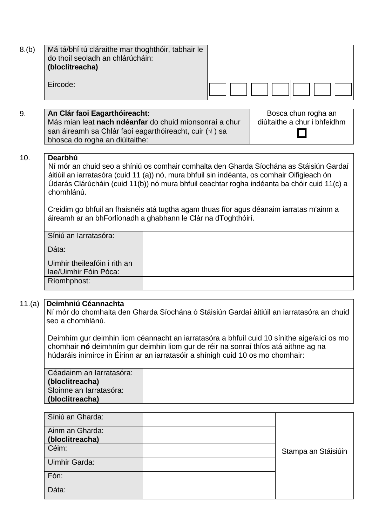| 8.(b)  | Má tá/bhí tú cláraithe mar thoghthóir, tabhair le<br>do thoil seoladh an chlárúcháin:<br>(bloclitreacha)                                                                                                                                                                                                                                                                                                    |                                                                                                                                                                                                                                                                                                                                                                                                                                                    |  |                     |  |  |  |
|--------|-------------------------------------------------------------------------------------------------------------------------------------------------------------------------------------------------------------------------------------------------------------------------------------------------------------------------------------------------------------------------------------------------------------|----------------------------------------------------------------------------------------------------------------------------------------------------------------------------------------------------------------------------------------------------------------------------------------------------------------------------------------------------------------------------------------------------------------------------------------------------|--|---------------------|--|--|--|
|        | Eircode:                                                                                                                                                                                                                                                                                                                                                                                                    |                                                                                                                                                                                                                                                                                                                                                                                                                                                    |  |                     |  |  |  |
| 9.     | An Clár faoi Eagarthóireacht:<br>Bosca chun rogha an<br>Más mian leat nach ndéanfar do chuid mionsonraí a chur<br>diúltaithe a chur i bhfeidhm<br>san áireamh sa Chlár faoi eagarthóireacht, cuir $(\sqrt{})$ ) sa<br>bhosca do rogha an diúltaithe:                                                                                                                                                        |                                                                                                                                                                                                                                                                                                                                                                                                                                                    |  |                     |  |  |  |
| 10.    | Dearbhú<br>chomhlánú.                                                                                                                                                                                                                                                                                                                                                                                       | Ní mór an chuid seo a shíniú os comhair comhalta den Gharda Síochána as Stáisiún Gardaí<br>áitiúil an iarratasóra (cuid 11 (a)) nó, mura bhfuil sin indéanta, os comhair Oifigieach ón<br>Údarás Clárúcháin (cuid 11(b)) nó mura bhfuil ceachtar rogha indéanta ba chóir cuid 11(c) a<br>Creidim go bhfuil an fhaisnéis atá tugtha agam thuas fíor agus déanaim iarratas m'ainm a<br>áireamh ar an bhForlíonadh a ghabhann le Clár na dToghthóirí. |  |                     |  |  |  |
|        | Síniú an Iarratasóra:                                                                                                                                                                                                                                                                                                                                                                                       |                                                                                                                                                                                                                                                                                                                                                                                                                                                    |  |                     |  |  |  |
|        | Dáta:                                                                                                                                                                                                                                                                                                                                                                                                       |                                                                                                                                                                                                                                                                                                                                                                                                                                                    |  |                     |  |  |  |
|        | Uimhir theileafóin i rith an<br>lae/Uimhir Fóin Póca:                                                                                                                                                                                                                                                                                                                                                       |                                                                                                                                                                                                                                                                                                                                                                                                                                                    |  |                     |  |  |  |
|        | Ríomhphost:                                                                                                                                                                                                                                                                                                                                                                                                 |                                                                                                                                                                                                                                                                                                                                                                                                                                                    |  |                     |  |  |  |
| 11.(a) | Deimhniú Céannachta<br>Ní mór do chomhalta den Gharda Síochána ó Stáisiún Gardaí áitiúil an iarratasóra an chuid<br>seo a chomhlánú.<br>Deimhím gur deimhin liom céannacht an iarratasóra a bhfuil cuid 10 sínithe aige/aici os mo<br>chomhair nó deimhním gur deimhin liom gur de réir na sonraí thíos atá aithne ag na<br>húdaráis inimirce in Éirinn ar an iarratasóir a shínigh cuid 10 os mo chomhair: |                                                                                                                                                                                                                                                                                                                                                                                                                                                    |  |                     |  |  |  |
|        | Céadainm an Iarratasóra:                                                                                                                                                                                                                                                                                                                                                                                    |                                                                                                                                                                                                                                                                                                                                                                                                                                                    |  |                     |  |  |  |
|        | (bloclitreacha)<br>Sloinne an Iarratasóra:<br>(bloclitreacha)                                                                                                                                                                                                                                                                                                                                               |                                                                                                                                                                                                                                                                                                                                                                                                                                                    |  |                     |  |  |  |
|        |                                                                                                                                                                                                                                                                                                                                                                                                             |                                                                                                                                                                                                                                                                                                                                                                                                                                                    |  |                     |  |  |  |
|        | Síniú an Gharda:                                                                                                                                                                                                                                                                                                                                                                                            |                                                                                                                                                                                                                                                                                                                                                                                                                                                    |  |                     |  |  |  |
|        | Ainm an Gharda:<br>(bloclitreacha)                                                                                                                                                                                                                                                                                                                                                                          |                                                                                                                                                                                                                                                                                                                                                                                                                                                    |  |                     |  |  |  |
|        | Céim:                                                                                                                                                                                                                                                                                                                                                                                                       |                                                                                                                                                                                                                                                                                                                                                                                                                                                    |  | Stampa an Stáisiúin |  |  |  |
|        | Uimhir Garda:                                                                                                                                                                                                                                                                                                                                                                                               |                                                                                                                                                                                                                                                                                                                                                                                                                                                    |  |                     |  |  |  |

Fón:

Dáta: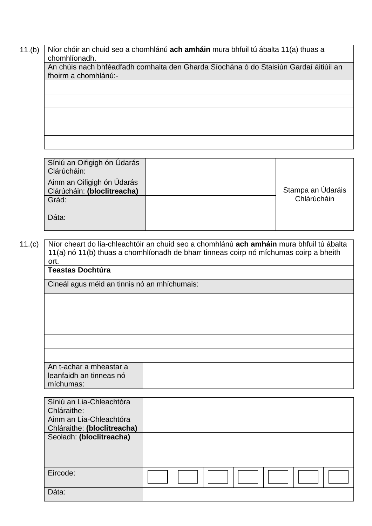11.(b) Níor chóir an chuid seo a chomhlánú **ach amháin** mura bhfuil tú ábalta 11(a) thuas a chomhlíonadh.

An chúis nach bhféadfadh comhalta den Gharda Síochána ó do Staisiún Gardaí áitiúil an fhoirm a chomhlánú:-

Síniú an Oifigigh ón Údarás Clárúcháin: Stampa an Údaráis Chlárúcháin Ainm an Oifigigh ón Údarás Clárúcháin: **(bloclitreacha)** Grád: Dáta:

 11.(c) Níor cheart do lia-chleachtóir an chuid seo a chomhlánú **ach amháin** mura bhfuil tú ábalta 11(a) nó 11(b) thuas a chomhlíonadh de bharr tinneas coirp nó míchumas coirp a bheith ort.

#### **Teastas Dochtúra**

Cineál agus méid an tinnis nó an mhíchumais:

| An t-achar a mheastar a |
|-------------------------|
| leanfaidh an tinneas nó |
|                         |
| míchumas:               |

| Síniú an Lia-Chleachtóra    |  |
|-----------------------------|--|
| Chláraithe:                 |  |
| Ainm an Lia-Chleachtóra     |  |
| Chláraithe: (bloclitreacha) |  |
| Seoladh: (bloclitreacha)    |  |
|                             |  |
|                             |  |
|                             |  |
| Eircode:                    |  |
|                             |  |
| Dáta:                       |  |
|                             |  |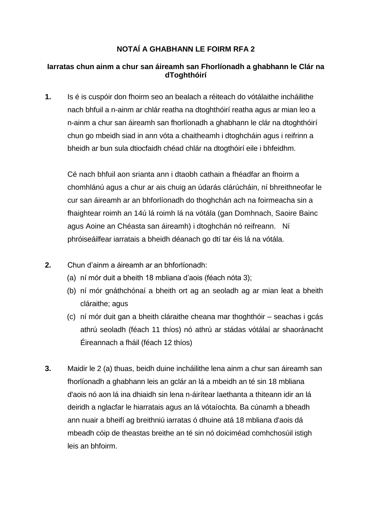### **NOTAÍ A GHABHANN LE FOIRM RFA 2**

#### **Iarratas chun ainm a chur san áireamh san Fhorlíonadh a ghabhann le Clár na dToghthóirí**

**1.** Is é is cuspóir don fhoirm seo an bealach a réiteach do vótálaithe incháilithe nach bhfuil a n-ainm ar chlár reatha na dtoghthóirí reatha agus ar mian leo a n-ainm a chur san áireamh san fhorlíonadh a ghabhann le clár na dtoghthóirí chun go mbeidh siad in ann vóta a chaitheamh i dtoghcháin agus i reifrinn a bheidh ar bun sula dtiocfaidh chéad chlár na dtogthóirí eile i bhfeidhm.

Cé nach bhfuil aon srianta ann i dtaobh cathain a fhéadfar an fhoirm a chomhlánú agus a chur ar ais chuig an údarás clárúcháin, ní bhreithneofar le cur san áireamh ar an bhforlíonadh do thoghchán ach na foirmeacha sin a fhaightear roimh an 14ú lá roimh lá na vótála (gan Domhnach, Saoire Bainc agus Aoine an Chéasta san áireamh) i dtoghchán nó reifreann. Ní phróiseáilfear iarratais a bheidh déanach go dtí tar éis lá na vótála.

- **2.** Chun d'ainm a áireamh ar an bhforlíonadh:
	- (a) ní mór duit a bheith 18 mbliana d'aois (féach nóta 3);
	- (b) ní mór gnáthchónaí a bheith ort ag an seoladh ag ar mian leat a bheith cláraithe; agus
	- (c) ní mór duit gan a bheith cláraithe cheana mar thoghthóir seachas i gcás athrú seoladh (féach 11 thíos) nó athrú ar stádas vótálaí ar shaoránacht Éireannach a fháil (féach 12 thíos)
- **3.** Maidir le 2 (a) thuas, beidh duine incháilithe lena ainm a chur san áireamh san fhorlíonadh a ghabhann leis an gclár an lá a mbeidh an té sin 18 mbliana d'aois nó aon lá ina dhiaidh sin lena n-áirítear laethanta a thiteann idir an lá deiridh a nglacfar le hiarratais agus an lá vótaíochta. Ba cúnamh a bheadh ann nuair a bheifí ag breithniú iarratas ó dhuine atá 18 mbliana d'aois dá mbeadh cóip de theastas breithe an té sin nó doiciméad comhchosúil istigh leis an bhfoirm.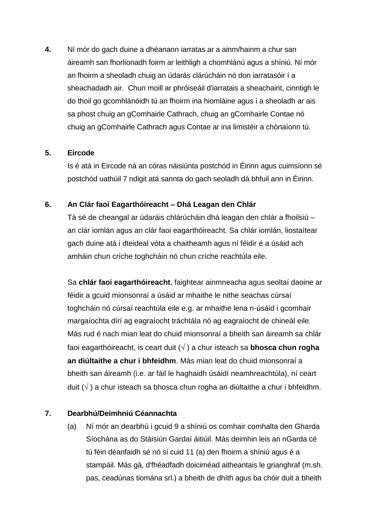**4.** Ní mór do gach duine a dhéanann iarratas ar a ainm/hainm a chur san áireamh san fhorlíonadh foirm ar leithligh a chomhlánú agus a shíniú. Ní mór an fhoirm a sheoladh chuig an údarás clárúcháin nó don iarratasóir í a sheachadadh air. Chun moill ar phróiseáil d'iarratais a sheachaint, cinntigh le do thoil go gcomhlánóidh tú an fhoirm ina hiomláine agus í a sheoladh ar ais sa phost chuig an gComhairle Cathrach, chuig an gComhairle Contae nó chuig an gComhairle Cathrach agus Contae ar ina limistéir a chónaíonn tú.

#### **5. Eircode**

Is é atá in Eircode ná an córas náisiúnta postchód in Éirinn agus cuimsíonn sé postchód uathúil 7 ndigit atá sannta do gach seoladh dá bhfuil ann in Éirinn.

#### **6. An Clár faoi Eagarthóireacht – Dhá Leagan den Chlár**

Tá sé de cheangal ar údaráis chlárúcháin dhá leagan den chlár a fhoilsiú – an clár iomlán agus an clár faoi eagarthóireacht. Sa chlár iomlán, liostaítear gach duine atá i dteideal vóta a chaitheamh agus ní féidir é a úsáid ach amháin chun críche toghcháin nó chun críche reachtúla eile.

Sa **chlár faoi eagarthóireacht**, faightear ainmneacha agus seoltaí daoine ar féidir a gcuid mionsonraí a úsáid ar mhaithe le nithe seachas cúrsaí toghcháin nó cúrsaí reachtúla eile e.g. ar mhaithe lena n-úsáid i gcomhair margaíochta dírí ag eagraíocht tráchtála nó ag eagraíocht de chineál eile. Más rud é nach mian leat do chuid mionsonraí a bheith san áireamh sa chlár faoi eagarthóireacht, is ceart duit ( $\sqrt{}$ ) a chur isteach sa **bhosca chun rogha an diúltaithe a chur i bhfeidhm**. Más mian leat do chuid mionsonraí a bheith san áireamh (i.e. ar fáil le haghaidh úsáidí neamhreachtúla), ní ceart duit  $(\sqrt{})$  a chur isteach sa bhosca chun rogha an diúltaithe a chur i bhfeidhm.

## **7. Dearbhú/Deimhniú Céannachta**

(a) Ní mór an dearbhú i gcuid 9 a shíniú os comhair comhalta den Gharda Síochána as do Stáisiún Gardaí áitiúil. Más deimhin leis an nGarda cé tú féin déanfaidh sé nó sí cuid 11 (a) den fhoirm a shíniú agus é a stampáil. Más gá, d'fhéadfadh doiciméad aitheantais le grianghraf (m.sh. pas, ceadúnas tiomána srl.) a bheith de dhíth agus ba chóir duit a bheith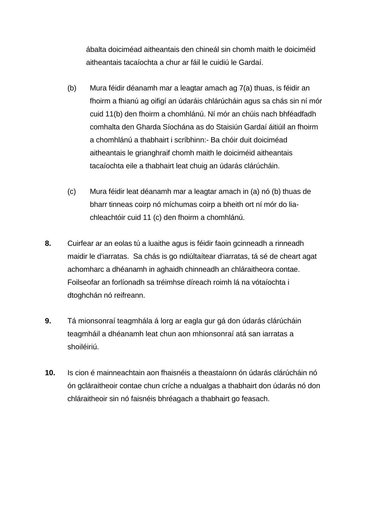ábalta doiciméad aitheantais den chineál sin chomh maith le doiciméid aitheantais tacaíochta a chur ar fáil le cuidiú le Gardaí.

- (b) Mura féidir déanamh mar a leagtar amach ag 7(a) thuas, is féidir an fhoirm a fhianú ag oifigí an údaráis chlárúcháin agus sa chás sin ní mór cuid 11(b) den fhoirm a chomhlánú. Ní mór an chúis nach bhféadfadh comhalta den Gharda Síochána as do Staisiún Gardaí áitiúil an fhoirm a chomhlánú a thabhairt i scríbhinn:- Ba chóir duit doiciméad aitheantais le grianghraif chomh maith le doiciméid aitheantais tacaíochta eile a thabhairt leat chuig an údarás clárúcháin.
- (c) Mura féidir leat déanamh mar a leagtar amach in (a) nó (b) thuas de bharr tinneas coirp nó míchumas coirp a bheith ort ní mór do liachleachtóir cuid 11 (c) den fhoirm a chomhlánú.
- **8.** Cuirfear ar an eolas tú a luaithe agus is féidir faoin gcinneadh a rinneadh maidir le d'iarratas. Sa chás is go ndiúltaítear d'iarratas, tá sé de cheart agat achomharc a dhéanamh in aghaidh chinneadh an chláraitheora contae. Foilseofar an forlíonadh sa tréimhse díreach roimh lá na vótaíochta i dtoghchán nó reifreann.
- **9.** Tá mionsonraí teagmhála á lorg ar eagla gur gá don údarás clárúcháin teagmháil a dhéanamh leat chun aon mhionsonraí atá san iarratas a shoiléiriú.
- **10.** Is cion é mainneachtain aon fhaisnéis a theastaíonn ón údarás clárúcháin nó ón gcláraitheoir contae chun críche a ndualgas a thabhairt don údarás nó don chláraitheoir sin nó faisnéis bhréagach a thabhairt go feasach.